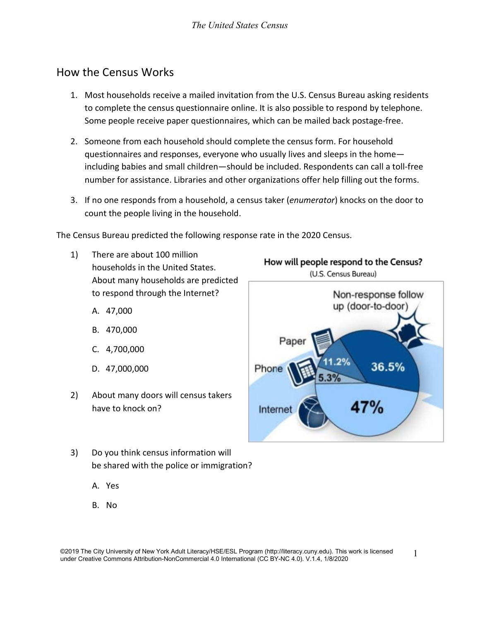# How the Census Works

- 1. Most households receive a mailed invitation from the U.S. Census Bureau asking residents to complete the census questionnaire online. It is also possible to respond by telephone. Some people receive paper questionnaires, which can be mailed back postage-free.
- 2. Someone from each household should complete the census form. For household questionnaires and responses, everyone who usually lives and sleeps in the home including babies and small children—should be included. Respondents can call a toll-free number for assistance. Libraries and other organizations offer help filling out the forms.
- 3. If no one responds from a household, a census taker (*enumerator*) knocks on the door to count the people living in the household.

The Census Bureau predicted the following response rate in the 2020 Census.

- 1) There are about 100 million households in the United States. About many households are predicted to respond through the Internet?
	- A. 47,000
	- B. 470,000
	- C. 4,700,000
	- D. 47,000,000
- 2) About many doors will census takers have to knock on?
- 3) Do you think census information will be shared with the police or immigration?
	- A. Yes
	- B. No